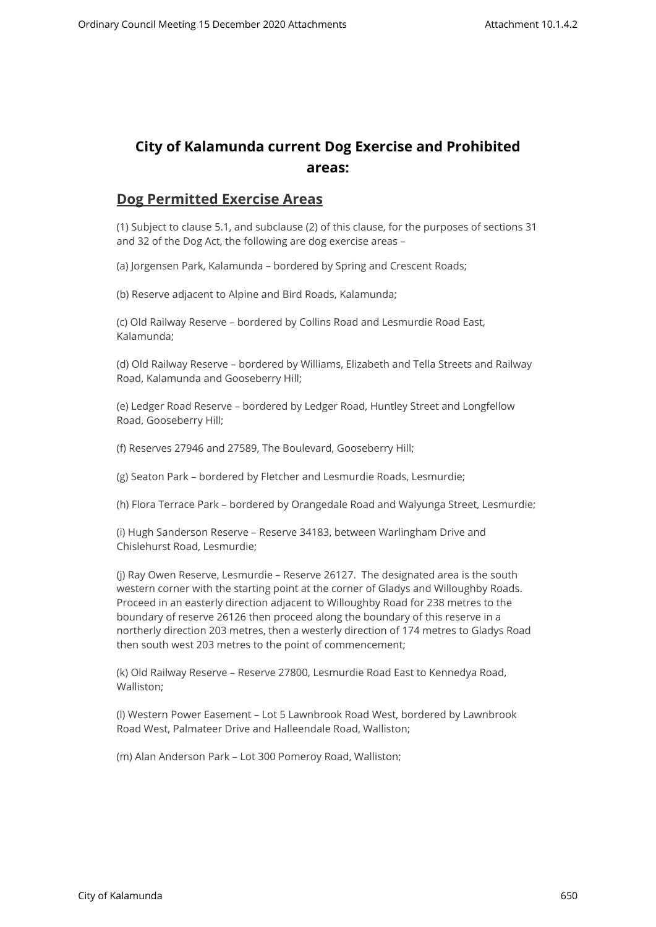## **City of Kalamunda current Dog Exercise and Prohibited areas:**

## **Dog Permitted Exercise Areas**

(1) Subject to clause 5.1, and subclause (2) of this clause, for the purposes of sections 31 and 32 of the Dog Act, the following are dog exercise areas –

(a) Jorgensen Park, Kalamunda – bordered by Spring and Crescent Roads;

(b) Reserve adjacent to Alpine and Bird Roads, Kalamunda;

(c) Old Railway Reserve – bordered by Collins Road and Lesmurdie Road East, Kalamunda;

(d) Old Railway Reserve – bordered by Williams, Elizabeth and Tella Streets and Railway Road, Kalamunda and Gooseberry Hill;

(e) Ledger Road Reserve – bordered by Ledger Road, Huntley Street and Longfellow Road, Gooseberry Hill;

(f) Reserves 27946 and 27589, The Boulevard, Gooseberry Hill;

(g) Seaton Park – bordered by Fletcher and Lesmurdie Roads, Lesmurdie;

(h) Flora Terrace Park – bordered by Orangedale Road and Walyunga Street, Lesmurdie;

(i) Hugh Sanderson Reserve – Reserve 34183, between Warlingham Drive and Chislehurst Road, Lesmurdie;

(j) Ray Owen Reserve, Lesmurdie – Reserve 26127. The designated area is the south western corner with the starting point at the corner of Gladys and Willoughby Roads. Proceed in an easterly direction adjacent to Willoughby Road for 238 metres to the boundary of reserve 26126 then proceed along the boundary of this reserve in a northerly direction 203 metres, then a westerly direction of 174 metres to Gladys Road then south west 203 metres to the point of commencement;

(k) Old Railway Reserve – Reserve 27800, Lesmurdie Road East to Kennedya Road, Walliston;

(l) Western Power Easement – Lot 5 Lawnbrook Road West, bordered by Lawnbrook Road West, Palmateer Drive and Halleendale Road, Walliston;

(m) Alan Anderson Park – Lot 300 Pomeroy Road, Walliston;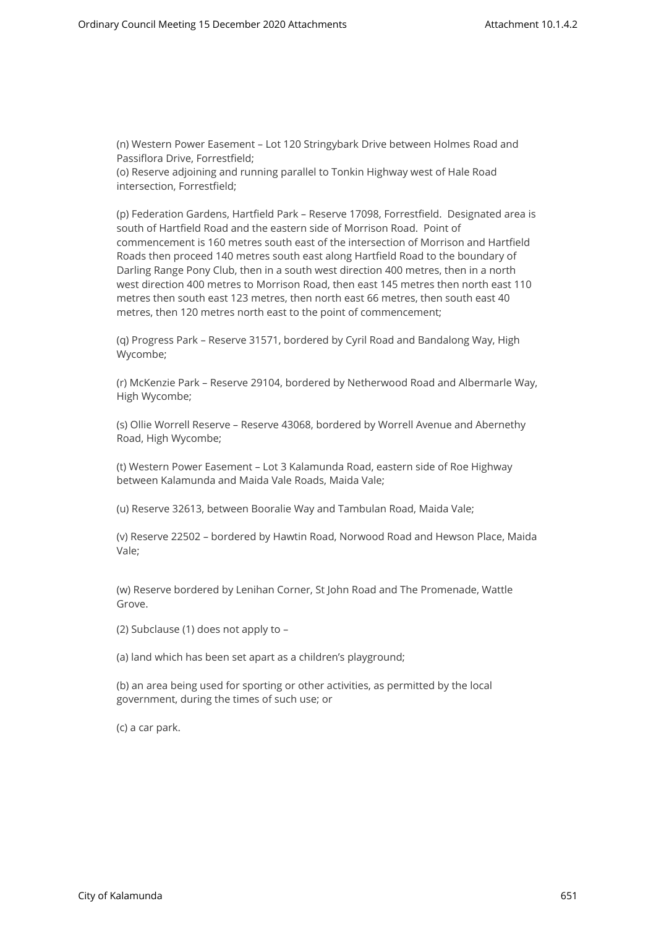(n) Western Power Easement – Lot 120 Stringybark Drive between Holmes Road and Passiflora Drive, Forrestfield; (o) Reserve adjoining and running parallel to Tonkin Highway west of Hale Road intersection, Forrestfield;

(p) Federation Gardens, Hartfield Park – Reserve 17098, Forrestfield. Designated area is south of Hartfield Road and the eastern side of Morrison Road. Point of commencement is 160 metres south east of the intersection of Morrison and Hartfield Roads then proceed 140 metres south east along Hartfield Road to the boundary of Darling Range Pony Club, then in a south west direction 400 metres, then in a north west direction 400 metres to Morrison Road, then east 145 metres then north east 110 metres then south east 123 metres, then north east 66 metres, then south east 40 metres, then 120 metres north east to the point of commencement;

(q) Progress Park – Reserve 31571, bordered by Cyril Road and Bandalong Way, High Wycombe;

(r) McKenzie Park – Reserve 29104, bordered by Netherwood Road and Albermarle Way, High Wycombe;

(s) Ollie Worrell Reserve – Reserve 43068, bordered by Worrell Avenue and Abernethy Road, High Wycombe;

(t) Western Power Easement – Lot 3 Kalamunda Road, eastern side of Roe Highway between Kalamunda and Maida Vale Roads, Maida Vale;

(u) Reserve 32613, between Booralie Way and Tambulan Road, Maida Vale;

(v) Reserve 22502 – bordered by Hawtin Road, Norwood Road and Hewson Place, Maida Vale;

(w) Reserve bordered by Lenihan Corner, St John Road and The Promenade, Wattle Grove.

(2) Subclause (1) does not apply to –

(a) land which has been set apart as a children's playground;

(b) an area being used for sporting or other activities, as permitted by the local government, during the times of such use; or

(c) a car park.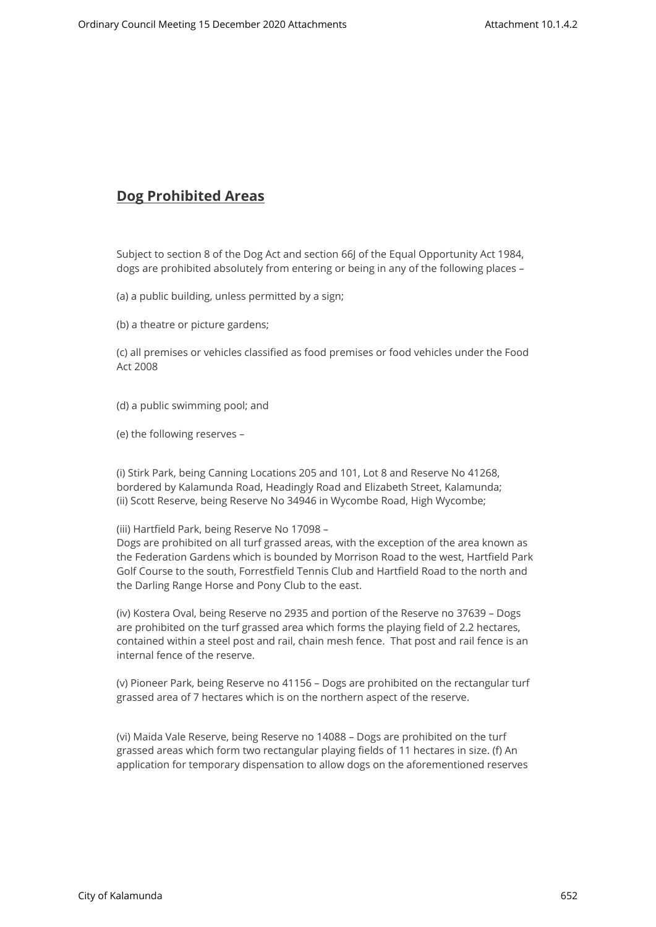## **Dog Prohibited Areas**

Subject to section 8 of the Dog Act and section 66J of the Equal Opportunity Act 1984, dogs are prohibited absolutely from entering or being in any of the following places –

(a) a public building, unless permitted by a sign;

(b) a theatre or picture gardens;

(c) all premises or vehicles classified as food premises or food vehicles under the Food Act 2008

- (d) a public swimming pool; and
- (e) the following reserves –

(i) Stirk Park, being Canning Locations 205 and 101, Lot 8 and Reserve No 41268, bordered by Kalamunda Road, Headingly Road and Elizabeth Street, Kalamunda; (ii) Scott Reserve, being Reserve No 34946 in Wycombe Road, High Wycombe;

(iii) Hartfield Park, being Reserve No 17098 –

Dogs are prohibited on all turf grassed areas, with the exception of the area known as the Federation Gardens which is bounded by Morrison Road to the west, Hartfield Park Golf Course to the south, Forrestfield Tennis Club and Hartfield Road to the north and the Darling Range Horse and Pony Club to the east.

(iv) Kostera Oval, being Reserve no 2935 and portion of the Reserve no 37639 – Dogs are prohibited on the turf grassed area which forms the playing field of 2.2 hectares, contained within a steel post and rail, chain mesh fence. That post and rail fence is an internal fence of the reserve.

(v) Pioneer Park, being Reserve no 41156 – Dogs are prohibited on the rectangular turf grassed area of 7 hectares which is on the northern aspect of the reserve.

(vi) Maida Vale Reserve, being Reserve no 14088 – Dogs are prohibited on the turf grassed areas which form two rectangular playing fields of 11 hectares in size. (f) An application for temporary dispensation to allow dogs on the aforementioned reserves